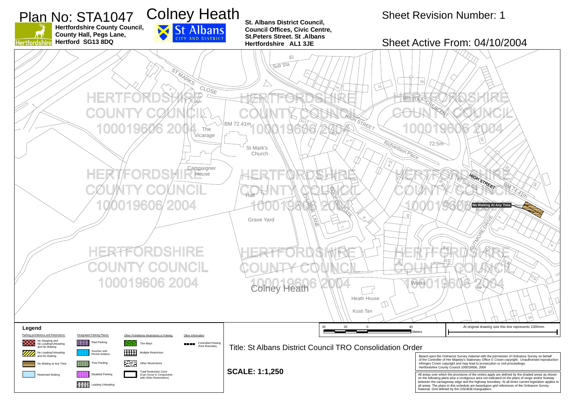

**St. Albans District Council, Council Offices, Civic Centre, St.Peters Street. St .Albans Hertfordshire AL1 3JE**



all areas. The plans in this schedule are basedupon grid references of the Ordnance Survey National Grid defined by the OSGB36 triangulation.

**Hertfordshire County Council, County Hall, Pegs Lane, Hertford SG13 8DQ**



 $\chi \cdot \rho$ 

### Sheet Revision Number: 1



#### Sheet Active From: 04/10/2004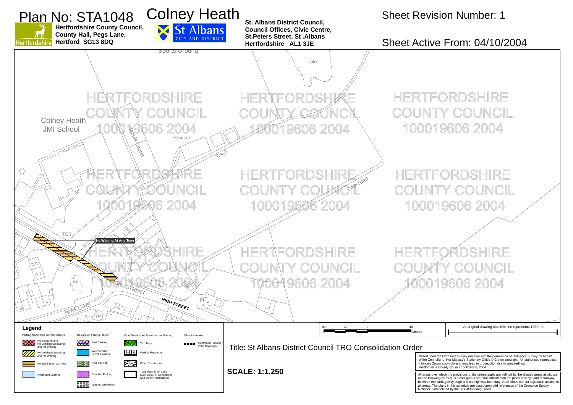Based upon the Ordnance Survey material with the permission of Ordnance Survey on behalf of the Controller of Her Majesty's Stationary Office © Crown copyright. Unauthorised reproduction infringes Crown copyright and may lead to prosecution or civil proceedings. Hertfordshire County Council 100019606, 2004

All areas over which the provisions of the orders apply are defined by the shaded areas as shown on the following plans plus a contiguous area not indicated on the plans of verge and/or footway between the carriageway edge and the highway boundary. At all times current legislation applies to all areas. The plans in this schedule are basedupon grid references of the Ordnance Survey National Grid defined by the OSGB36 triangulation.



## Sheet Revision Number: 1

### Sheet Active From: 04/10/2004

**HERTFORDSHIRE** COUNCIL 100019606 2004

HERTFORDSHIRE COUNTY COUNCIL 100019606 2004

9606 2004